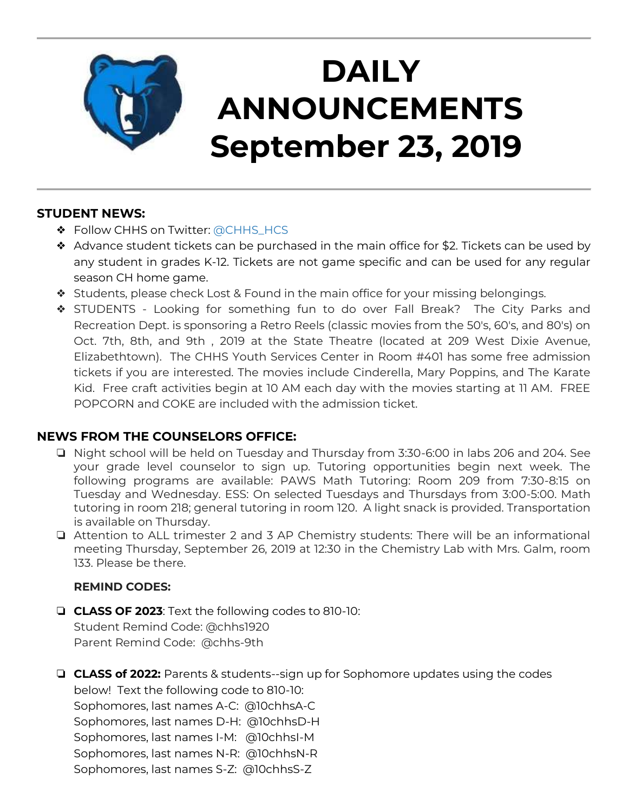

# **DAILY ANNOUNCEMENTS September 23, 2019**

### **STUDENT NEWS:**

- ❖ Follow CHHS on Twitter: [@CHHS\\_HCS](https://twitter.com/CHHS_HCS)
- $\triangleleft$  Advance student tickets can be purchased in the main office for \$2. Tickets can be used by any student in grades K-12. Tickets are not game specific and can be used for any regular season CH home game.
- ❖ Students, please check Lost & Found in the main office for your missing belongings.
- ❖ STUDENTS Looking for something fun to do over Fall Break? The City Parks and Recreation Dept. is sponsoring a Retro Reels (classic movies from the 50's, 60's, and 80's) on Oct. 7th, 8th, and 9th , 2019 at the State Theatre (located at 209 West Dixie Avenue, Elizabethtown). The CHHS Youth Services Center in Room #401 has some free admission tickets if you are interested. The movies include Cinderella, Mary Poppins, and The Karate Kid. Free craft activities begin at 10 AM each day with the movies starting at 11 AM. FREE POPCORN and COKE are included with the admission ticket.

## **NEWS FROM THE COUNSELORS OFFICE:**

- ❏ Night school will be held on Tuesday and Thursday from 3:30-6:00 in labs 206 and 204. See your grade level counselor to sign up. Tutoring opportunities begin next week. The following programs are available: PAWS Math Tutoring: Room 209 from 7:30-8:15 on Tuesday and Wednesday. ESS: On selected Tuesdays and Thursdays from 3:00-5:00. Math tutoring in room 218; general tutoring in room 120. A light snack is provided. Transportation is available on Thursday.
- ❏ Attention to ALL trimester 2 and 3 AP Chemistry students: There will be an informational meeting Thursday, September 26, 2019 at 12:30 in the Chemistry Lab with Mrs. Galm, room 133. Please be there.

### **REMIND CODES:**

❏ **CLASS OF 2023**: Text the following codes to 810-10: Student Remind Code: @chhs1920 Parent Remind Code: @chhs-9th

❏ **CLASS of 2022:** Parents & students--sign up for Sophomore updates using the codes below! Text the following code to 810-10: Sophomores, last names A-C: @10chhsA-C Sophomores, last names D-H: @10chhsD-H Sophomores, last names I-M: @10chhsI-M Sophomores, last names N-R: @10chhsN-R Sophomores, last names S-Z: @10chhsS-Z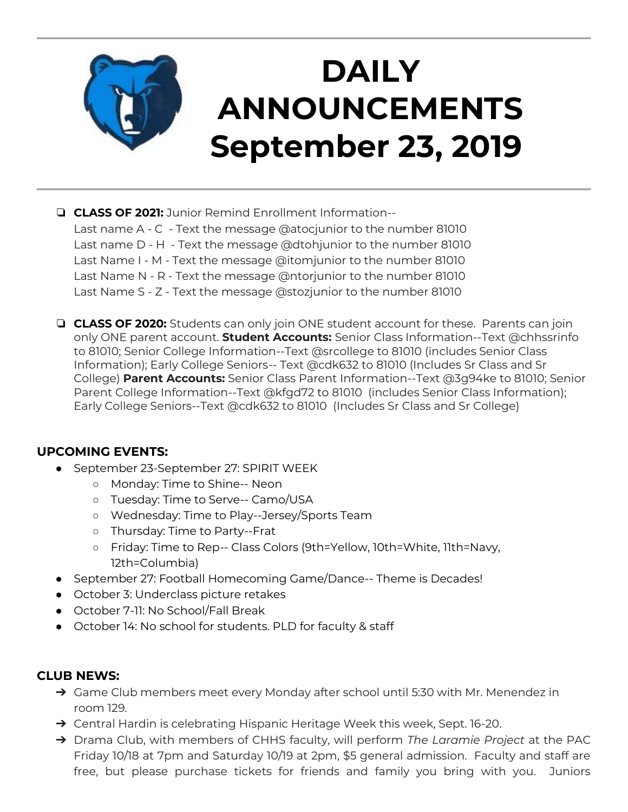

- ❏ **CLASS OF 2021:** Junior Remind Enrollment Information-- Last name A - C - Text the message @atocjunior to the number 81010 Last name D - H - Text the message @dtohjunior to the number 81010 Last Name I - M - Text the message @itomjunior to the number 81010 Last Name N - R - Text the message @ntorjunior to the number 81010 Last Name S - Z - Text the message @stozjunior to the number 81010
- ❏ **CLASS OF 2020:** Students can only join ONE student account for these. Parents can join only ONE parent account. **Student Accounts:** Senior Class Information--Text @chhssrinfo to 81010; Senior College Information--Text @srcollege to 81010 (includes Senior Class Information); Early College Seniors-- Text @cdk632 to 81010 (Includes Sr Class and Sr College) **Parent Accounts:** Senior Class Parent Information--Text @3g94ke to 81010; Senior Parent College Information--Text @kfgd72 to 81010 (includes Senior Class Information); Early College Seniors--Text @cdk632 to 81010 (Includes Sr Class and Sr College)

#### **UPCOMING EVENTS:**

- September 23-September 27: SPIRIT WEEK
	- Monday: Time to Shine-- Neon
	- Tuesday: Time to Serve-- Camo/USA
	- Wednesday: Time to Play--Jersey/Sports Team
	- Thursday: Time to Party--Frat
	- Friday: Time to Rep-- Class Colors (9th=Yellow, 10th=White, 11th=Navy, 12th=Columbia)
- September 27: Football Homecoming Game/Dance-- Theme is Decades!
- October 3: Underclass picture retakes
- October 7-11: No School/Fall Break
- October 14: No school for students. PLD for faculty & staff

#### **CLUB NEWS:**

- ➔ Game Club members meet every Monday after school until 5:30 with Mr. Menendez in room 129.
- → Central Hardin is celebrating Hispanic Heritage Week this week, Sept. 16-20.
- ➔ Drama Club, with members of CHHS faculty, will perform *The Laramie Project* at the PAC Friday 10/18 at 7pm and Saturday 10/19 at 2pm, \$5 general admission. Faculty and staff are free, but please purchase tickets for friends and family you bring with you. Juniors